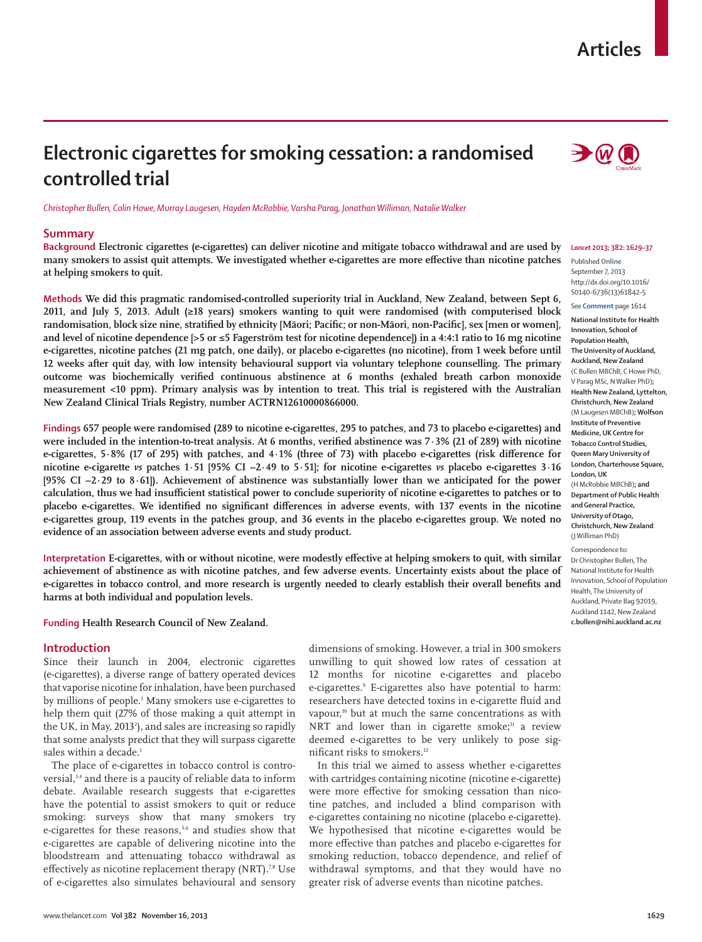# **Articles**



# **Electronic cigarettes for smoking cessation: a randomised controlled trial**

*Christopher Bullen, Colin Howe, Murray Laugesen, Hayden McRobbie, Varsha Parag, Jonathan Williman, Natalie Walker*

#### **Summary**

**Background Electronic cigarettes (e-cigarettes) can deliver nicotine and mitigate tobacco withdrawal and are used by**  many smokers to assist quit attempts. We investigated whether e-cigarettes are more effective than nicotine patches **at helping smokers to quit.**

**Methods We did this pragmatic randomised-controlled superiority trial in Auckland, New Zealand, between Sept 6, 2011, and July 5, 2013. Adult (≥18 years) smokers wanting to quit were randomised (with computerised block**  randomisation, block size nine, stratified by ethnicity [Māori; Pacific; or non-Māori, non-Pacific], sex [men or women], **and level of nicotine dependence [>5 or ≤5 Fagerström test for nicotine dependence]) in a 4:4:1 ratio to 16 mg nicotine e-cigarettes, nicotine patches (21 mg patch, one daily), or placebo e-cigarettes (no nicotine), from 1 week before until 12 weeks after quit day, with low intensity behavioural support via voluntary telephone counselling. The primary outcome** was biochemically verified continuous abstinence at 6 months (exhaled breath carbon monoxide **measurement <10 ppm). Primary analysis was by intention to treat. This trial is registered with the Australian New Zealand Clinical Trials Registry, number ACTRN12610000866000.**

**Findings 657 people were randomised (289 to nicotine e-cigarettes, 295 to patches, and 73 to placebo e-cigarettes) and**  were included in the intention-to-treat analysis. At 6 months, verified abstinence was 7.3% (21 of 289) with nicotine e-cigarettes, 5·8% (17 of 295) with patches, and 4·1% (three of 73) with placebo e-cigarettes (risk difference for **nicotine e-cigarette** *vs* **patches 1·51 [95% CI –2·49 to 5·51]; for nicotine e-cigarettes** *vs* **placebo e-cigarettes 3·16 [95% CI –2·29 to 8·61]). Achievement of abstinence was substantially lower than we anticipated for the power**  calculation, thus we had insufficient statistical power to conclude superiority of nicotine e-cigarettes to patches or to placebo e-cigarettes. We identified no significant differences in adverse events, with 137 events in the nicotine **e-cigarettes group, 119 events in the patches group, and 36 events in the placebo e-cigarettes group. We noted no evidence of an association between adverse events and study product.**

Interpretation E-cigarettes, with or without nicotine, were modestly effective at helping smokers to quit, with similar **achievement of abstinence as with nicotine patches, and few adverse events. Uncertainty exists about the place of**  e-cigarettes in tobacco control, and more research is urgently needed to clearly establish their overall benefits and **harms at both individual and population levels.**

**Funding Health Research Council of New Zealand.**

## **Introduction**

Since their launch in 2004, electronic cigarettes (e-cigarettes), a diverse range of battery operated devices that vaporise nicotine for inhalation, have been purchased by millions of people.1 Many smokers use e-cigarettes to help them quit (27% of those making a quit attempt in the UK, in May, 2013<sup>2</sup>), and sales are increasing so rapidly that some analysts predict that they will surpass cigarette sales within a decade.<sup>1</sup>

The place of e-cigarettes in tobacco control is controversial,<sup>3,4</sup> and there is a paucity of reliable data to inform debate. Available research suggests that e-cigarettes have the potential to assist smokers to quit or reduce smoking: surveys show that many smokers try e-cigarettes for these reasons,<sup>5,6</sup> and studies show that e-cigarettes are capable of delivering nicotine into the bloodstream and attenuating tobacco withdrawal as effectively as nicotine replacement therapy (NRT).<sup>7,8</sup> Use of e-cigarettes also simulates behavioural and sensory dimensions of smoking. However, a trial in 300 smokers unwilling to quit showed low rates of cessation at 12 months for nicotine e-cigarettes and placebo e-cigarettes.9 E-cigarettes also have potential to harm: researchers have detected toxins in e-cigarette fluid and vapour,<sup>10</sup> but at much the same concentrations as with NRT and lower than in cigarette smoke; $11$  a review deemed e-cigarettes to be very unlikely to pose significant risks to smokers.<sup>12</sup>

In this trial we aimed to assess whether e-cigarettes with cartridges containing nicotine (nicotine e-cigarette) were more effective for smoking cessation than nicotine patches, and included a blind comparison with e-cigarettes containing no nicotine (placebo e-cigarette). We hypothesised that nicotine e-cigarettes would be more effective than patches and placebo e-cigarettes for smoking reduction, tobacco dependence, and relief of withdrawal symptoms, and that they would have no greater risk of adverse events than nicotine patches.

#### *Lancet* **2013; 382: 1629–37**

Published **Online** September 7, 2013 http://dx.doi.org/10.1016/ S0140-6736(13)61842-5 See **Comment** page 1614

**National Institute for Health Innovation, School of Population Health, The University of Auckland, Auckland, New Zealand** (C Bullen MBChB, C Howe PhD, V Parag MSc, N Walker PhD)**; Health New Zealand, Lyttelton, Christchurch, New Zealand** (M Laugesen MBChB)**; Wolfson Institute of Preventive Medicine, UK Centre for Tobacco Control Studies, Queen Mary University of London, Charterhouse Square, London, UK** (H McRobbie MBChB)**; and Department of Public Health and General Practice, University of Otago, Christchurch, New Zealand**  (J Williman PhD) Correspondence to:

Dr Christopher Bullen, The National Institute for Health Innovation, School of Population Health, The University of Auckland, Private Bag 92019, Auckland 1142, New Zealand **c.bullen@nihi.auckland.ac.nz**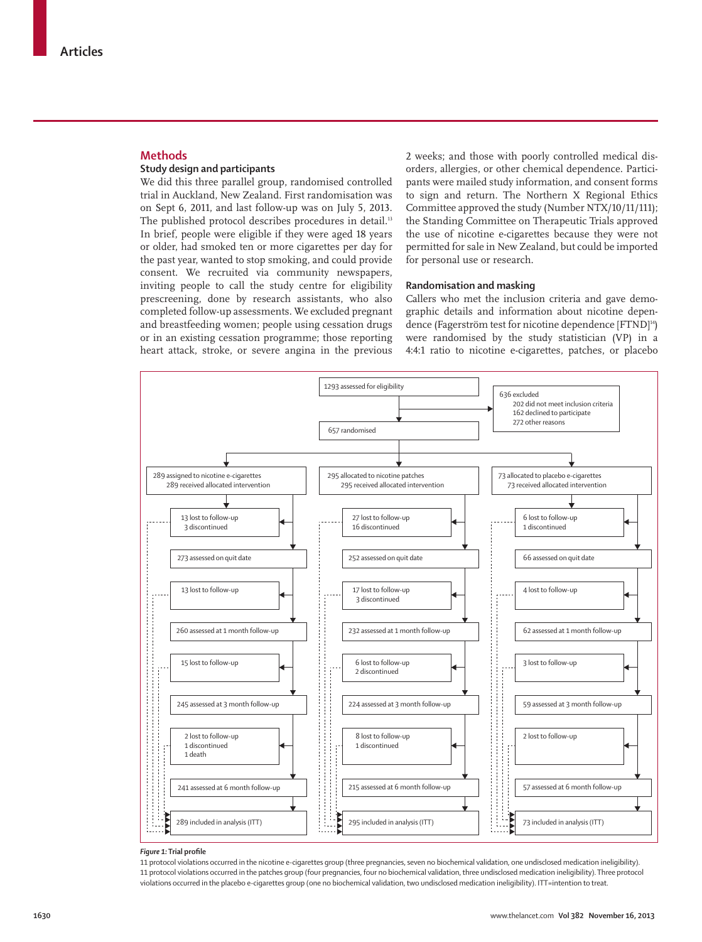## **Methods**

## **Study design and participants**

We did this three parallel group, randomised controlled trial in Auckland, New Zealand. First randomisation was on Sept 6, 2011, and last follow-up was on July 5, 2013. The published protocol describes procedures in detail.<sup>13</sup> In brief, people were eligible if they were aged 18 years or older, had smoked ten or more cigarettes per day for the past year, wanted to stop smoking, and could provide consent. We recruited via community newspapers, inviting people to call the study centre for eligibility prescreening, done by research assistants, who also completed follow-up assessments. We excluded pregnant and breastfeeding women; people using cessation drugs or in an existing cessation programme; those reporting heart attack, stroke, or severe angina in the previous

2 weeks; and those with poorly controlled medical disorders, allergies, or other chemical dependence. Participants were mailed study information, and consent forms to sign and return. The Northern X Regional Ethics Committee approved the study (Number NTX/10/11/111); the Standing Committee on Therapeutic Trials approved the use of nicotine e-cigarettes because they were not permitted for sale in New Zealand, but could be imported for personal use or research.

#### **Randomisation and masking**

Callers who met the inclusion criteria and gave demographic details and information about nicotine dependence (Fagerström test for nicotine dependence [FTND]<sup>14</sup>) were randomised by the study statistician (VP) in a 4:4:1 ratio to nicotine e-cigarettes, patches, or placebo



#### $F$ *iqure* 1: Trial profile

11 protocol violations occurred in the nicotine e-cigarettes group (three pregnancies, seven no biochemical validation, one undisclosed medication ineligibility). 11 protocol violations occurred in the patches group (four pregnancies, four no biochemical validation, three undisclosed medication ineligibility). Three protocol violations occurred in the placebo e-cigarettes group (one no biochemical validation, two undisclosed medication ineligibility). ITT=intention to treat.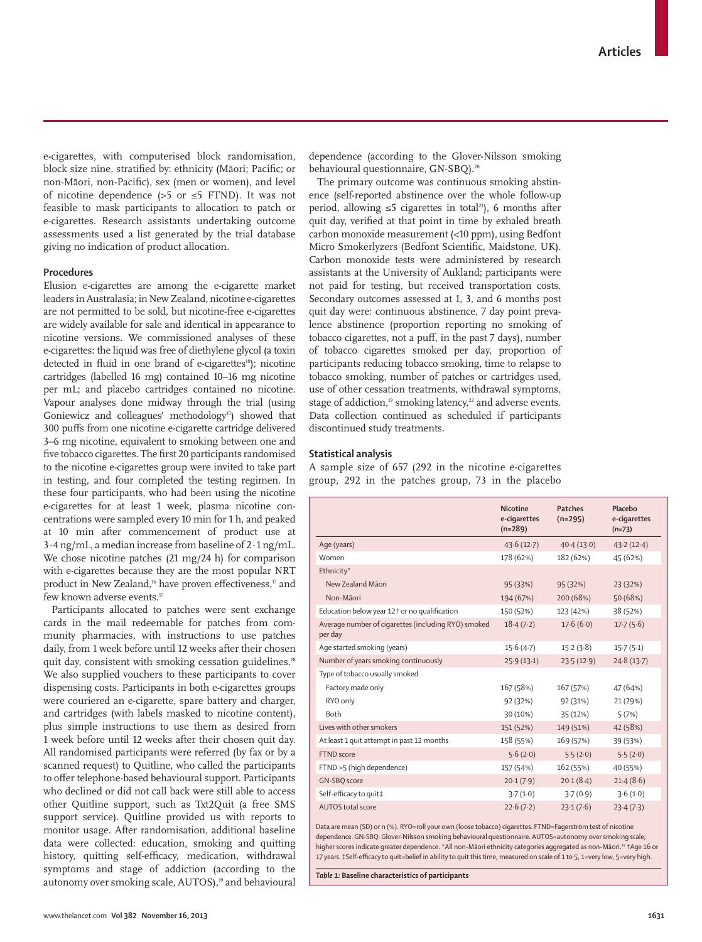e-cigarettes, with computerised block randomisation, block size nine, stratified by: ethnicity (Māori; Pacific; or non-Māori, non-Pacific), sex (men or women), and level of nicotine dependence (>5 or ≤5 FTND). It was not feasible to mask participants to allocation to patch or e-cigarettes. Research assistants undertaking outcome assessments used a list generated by the trial database giving no indication of product allocation.

## **Procedures**

Elusion e-cigarettes are among the e-cigarette market leaders in Australasia; in New Zealand, nicotine e-cigarettes are not permitted to be sold, but nicotine-free e-cigarettes are widely available for sale and identical in appearance to nicotine versions. We commissioned analyses of these e-cigarettes: the liquid was free of diethylene glycol (a toxin detected in fluid in one brand of e-cigarettes<sup>10</sup>); nicotine cartridges (labelled 16 mg) contained 10–16 mg nicotine per mL; and placebo cartridges contained no nicotine. Vapour analyses done midway through the trial (using Goniewicz and colleagues' methodology<sup>15</sup>) showed that 300 puffs from one nicotine e-cigarette cartridge delivered 3–6 mg nicotine, equivalent to smoking between one and five tobacco cigarettes. The first 20 participants randomised to the nicotine e-cigarettes group were invited to take part in testing, and four completed the testing regimen. In these four participants, who had been using the nicotine e-cigarettes for at least 1 week, plasma nicotine concentrations were sampled every 10 min for 1 h, and peaked at 10 min after commencement of product use at 3·4 ng/mL, a median increase from baseline of 2·1 ng/mL. We chose nicotine patches (21 mg/24 h) for comparison with e-cigarettes because they are the most popular NRT product in New Zealand,<sup>16</sup> have proven effectiveness,<sup>17</sup> and few known adverse events.<sup>17</sup>

Participants allocated to patches were sent exchange cards in the mail redeemable for patches from community pharmacies, with instructions to use patches daily, from 1 week before until 12 weeks after their chosen quit day, consistent with smoking cessation guidelines.<sup>18</sup> We also supplied vouchers to these participants to cover dispensing costs. Participants in both e-cigarettes groups were couriered an e-cigarette, spare battery and charger, and cartridges (with labels masked to nicotine content), plus simple instructions to use them as desired from 1 week before until 12 weeks after their chosen quit day. All randomised participants were referred (by fax or by a scanned request) to Quitline, who called the participants to offer telephone-based behavioural support. Participants who declined or did not call back were still able to access other Quitline support, such as Txt2Quit (a free SMS support service). Quitline provided us with reports to monitor usage. After randomisation, additional baseline data were collected: education, smoking and quitting history, quitting self-efficacy, medication, withdrawal symptoms and stage of addiction (according to the autonomy over smoking scale, AUTOS),<sup>19</sup> and behavioural

dependence (according to the Glover-Nilsson smoking behavioural questionnaire, GN-SBQ).<sup>20</sup>

The primary outcome was continuous smoking abstinence (self-reported abstinence over the whole follow-up period, allowing  $\leq$ 5 cigarettes in total<sup>21</sup>), 6 months after quit day, verified at that point in time by exhaled breath carbon monoxide measurement (<10 ppm), using Bedfont Micro Smokerlyzers (Bedfont Scientific, Maidstone, UK). Carbon monoxide tests were administered by research assistants at the University of Aukland; participants were not paid for testing, but received transportation costs. Secondary outcomes assessed at 1, 3, and 6 months post quit day were: continuous abstinence, 7 day point prevalence abstinence (proportion reporting no smoking of tobacco cigarettes, not a puff, in the past 7 days), number of tobacco cigarettes smoked per day, proportion of participants reducing tobacco smoking, time to relapse to tobacco smoking, number of patches or cartridges used, use of other cessation treatments, withdrawal symptoms, stage of addiction,<sup>19</sup> smoking latency,<sup>22</sup> and adverse events. Data collection continued as scheduled if participants discontinued study treatments.

#### **Statistical analysis**

A sample size of 657 (292 in the nicotine e-cigarettes group, 292 in the patches group, 73 in the placebo

|                                                                | <b>Nicotine</b><br>e-cigarettes<br>$(n=289)$ | Patches<br>$(n=295)$ | Placebo<br>e-cigarettes<br>$(n=73)$ |
|----------------------------------------------------------------|----------------------------------------------|----------------------|-------------------------------------|
| Age (years)                                                    | 43.6(12.7)                                   | 40.4(13.0)           | 43.2(12.4)                          |
| Women                                                          | 178 (62%)                                    | 182 (62%)            | 45 (62%)                            |
| Ethnicity*                                                     |                                              |                      |                                     |
| New Zealand Māori                                              | 95 (33%)                                     | 95 (32%)             | 23 (32%)                            |
| Non-Māori                                                      | 194 (67%)                                    | 200 (68%)            | 50 (68%)                            |
| Education below year 12 <sup>+</sup> or no qualification       | 150 (52%)                                    | 123 (42%)            | 38 (52%)                            |
| Average number of cigarettes (including RYO) smoked<br>per day | 18.4(7.2)                                    | 17.6(6.0)            | 17.7(5.6)                           |
| Age started smoking (years)                                    | 15.6(4.7)                                    | 15.2(3.8)            | 15.7(5.1)                           |
| Number of years smoking continuously                           | 25.9(13.1)                                   | 23.5(12.9)           | 24.8(13.7)                          |
| Type of tobacco usually smoked                                 |                                              |                      |                                     |
| Factory made only                                              | 167 (58%)                                    | 167 (57%)            | 47 (64%)                            |
| RYO only                                                       | 92 (32%)                                     | 92 (31%)             | 21 (29%)                            |
| <b>Both</b>                                                    | 30 (10%)                                     | 35 (12%)             | 5(7%)                               |
| Lives with other smokers                                       | 151 (52%)                                    | 149 (51%)            | 42 (58%)                            |
| At least 1 quit attempt in past 12 months                      | 158 (55%)                                    | 169 (57%)            | 39 (53%)                            |
| <b>FTND</b> score                                              | 5.6(2.0)                                     | 5.5(2.0)             | 5.5(2.0)                            |
| FTND >5 (high dependence)                                      | 157 (54%)                                    | 162 (55%)            | 40 (55%)                            |
| GN-SBQ score                                                   | 20.1(7.9)                                    | 20.1(8.4)            | 21.4(8.6)                           |
| Self-efficacy to quit‡                                         | 3.7(1.0)                                     | 3.7(0.9)             | 3.6(1.0)                            |
| <b>AUTOS</b> total score                                       | 22.6(7.2)                                    | 23.1(7.6)            | 23.4(7.3)                           |

Data are mean (SD) or n (%). RYO=roll your own (loose tobacco) cigarettes. FTND=Fagerström test of nicotine dependence. GN-SBQ: Glover-Nilsson smoking behavioural questionnaire. AUTOS=autonomy over smoking scale; higher scores indicate greater dependence. \*All non-Māori ethnicity categories aggregated as non-Māori.<sup>25</sup> †Age 16 or 17 years. ‡Self-efficacy to quit=belief in ability to quit this time, measured on scale of 1 to 5, 1=very low, 5=very high.

*Table 1:* **Baseline characteristics of participants**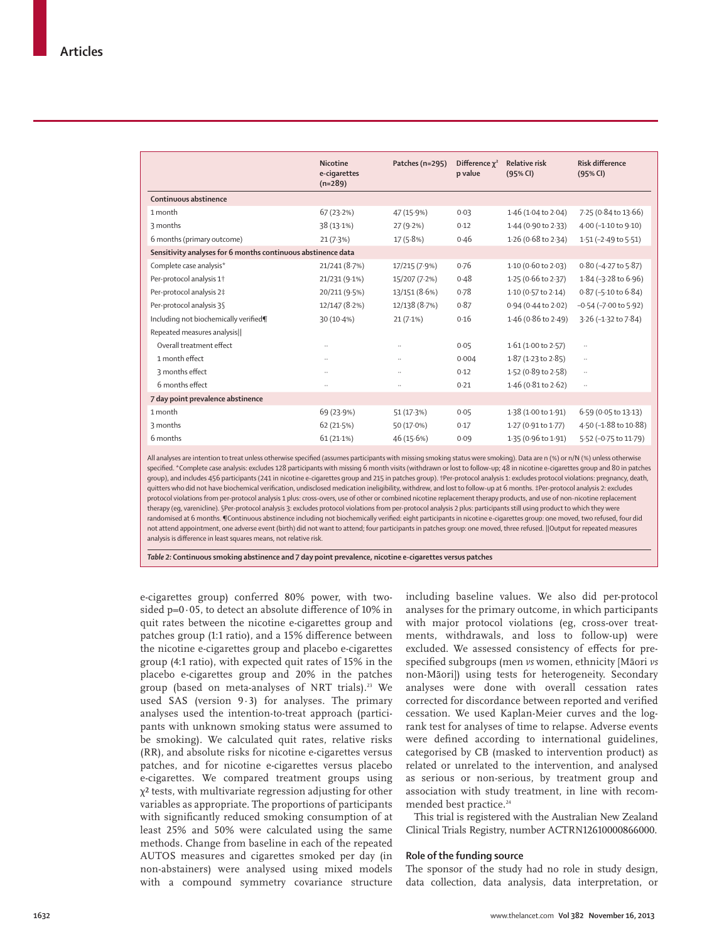|                                                              | <b>Nicotine</b><br>e-cigarettes<br>$(n=289)$ | Patches (n=295) | Difference $\chi^2$<br>p value | <b>Relative risk</b><br>(95% CI) | <b>Risk difference</b><br>(95% CI) |  |  |
|--------------------------------------------------------------|----------------------------------------------|-----------------|--------------------------------|----------------------------------|------------------------------------|--|--|
| Continuous abstinence                                        |                                              |                 |                                |                                  |                                    |  |  |
| 1 month                                                      | 67(23.2%)                                    | 47 (15.9%)      | 0.03                           | 1.46 (1.04 to 2.04)              | 7.25 (0.84 to 13.66)               |  |  |
| 3 months                                                     | 38 (13.1%)                                   | 27 (9.2%)       | 0.12                           | 1.44 (0.90 to 2.33)              | 4.00 (-1.10 to 9.10)               |  |  |
| 6 months (primary outcome)                                   | 21(7.3%)                                     | 17(5.8%)        | 0.46                           | 1.26 (0.68 to 2.34)              | 1.51 (-2.49 to 5.51)               |  |  |
| Sensitivity analyses for 6 months continuous abstinence data |                                              |                 |                                |                                  |                                    |  |  |
| Complete case analysis*                                      | 21/241 (8.7%)                                | 17/215 (7.9%)   | 0.76                           | 1.10 (0.60 to 2.03)              | 0.80 (-4.27 to 5.87)               |  |  |
| Per-protocol analysis 1+                                     | 21/231 (9.1%)                                | 15/207 (7.2%)   | 0.48                           | $1.25(0.66$ to $2.37)$           | $1.84$ (-3.28 to 6.96)             |  |  |
| Per-protocol analysis 2‡                                     | 20/211 (9.5%)                                | 13/151 (8.6%)   | 0.78                           | 1.10 (0.57 to 2.14)              | $0.87$ (-5.10 to $6.84$ )          |  |  |
| Per-protocol analysis 3§                                     | 12/147 (8.2%)                                | 12/138 (8.7%)   | 0.87                           | 0.94 (0.44 to 2.02)              | $-0.54$ ( $-7.00$ to $5.92$ )      |  |  |
| Including not biochemically verified¶                        | $30(10.4\%)$                                 | 21(7.1%)        | 0.16                           | 1.46 (0.86 to 2.49)              | 3.26 (-1.32 to 7.84)               |  |  |
| Repeated measures analysis                                   |                                              |                 |                                |                                  |                                    |  |  |
| Overall treatment effect                                     |                                              | $\ddotsc$       | 0.05                           | 1.61 (1.00 to 2.57)              | $\ldots$                           |  |  |
| 1 month effect                                               | $\ddotsc$                                    | $\ddotsc$       | 0.004                          | 1.87 (1.23 to 2.85)              | $\ldots$                           |  |  |
| 3 months effect                                              | $\ddotsc$                                    | $\ddotsc$       | 0.12                           | 1.52 (0.89 to 2.58)              | $\ldots$                           |  |  |
| 6 months effect                                              |                                              | $\ddotsc$       | 0.21                           | $1.46$ (0.81 to 2.62)            | $\ldots$                           |  |  |
| 7 day point prevalence abstinence                            |                                              |                 |                                |                                  |                                    |  |  |
| 1 month                                                      | 69 (23.9%)                                   | 51(17.3%)       | 0.05                           | 1.38 (1.00 to 1.91)              | 6.59 (0.05 to 13.13)               |  |  |
| 3 months                                                     | 62 (21.5%)                                   | 50 (17.0%)      | 0.17                           | 1.27 (0.91 to 1.77)              | 4.50 (-1.88 to 10.88)              |  |  |
| 6 months                                                     | 61(21.1%)                                    | 46 (15.6%)      | 0.09                           | 1.35 (0.96 to 1.91)              | 5.52 (-0.75 to 11.79)              |  |  |
|                                                              |                                              |                 |                                |                                  |                                    |  |  |

All analyses are intention to treat unless otherwise specified (assumes participants with missing smoking status were smoking). Data are n (%) or n/N (%) unless otherwise specified. \*Complete case analysis: excludes 128 participants with missing 6 month visits (withdrawn or lost to follow-up; 48 in nicotine e-cigarettes group and 80 in patches group), and includes 456 participants (241 in nicotine e-cigarettes group and 215 in patches group). †Per-protocol analysis 1: excludes protocol violations: pregnancy, death, quitters who did not have biochemical verification, undisclosed medication ineligibility, withdrew, and lost to follow-up at 6 months. ‡Per-protocol analysis 2: excludes protocol violations from per-protocol analysis 1 plus: cross-overs, use of other or combined nicotine replacement therapy products, and use of non-nicotine replacement therapy (eg, varenicline). §Per-protocol analysis 3: excludes protocol violations from per-protocol analysis 2 plus: participants still using product to which they were randomised at 6 months. ¶Continuous abstinence including not biochemically verified: eight participants in nicotine e-cigarettes group: one moved, two refused, four did not attend appointment, one adverse event (birth) did not want to attend; four participants in patches group: one moved, three refused. ||Output for repeated measures analysis is difference in least squares means, not relative risk.

*Table 2:* **Continuous smoking abstinence and 7 day point prevalence, nicotine e-cigarettes versus patches**

e-cigarettes group) conferred 80% power, with twosided  $p=0.05$ , to detect an absolute difference of 10% in quit rates between the nicotine e-cigarettes group and patches group (1:1 ratio), and a 15% difference between the nicotine e-cigarettes group and placebo e-cigarettes group (4:1 ratio), with expected quit rates of 15% in the placebo e-cigarettes group and 20% in the patches group (based on meta-analyses of NRT trials).<sup>23</sup> We used SAS (version 9·3) for analyses. The primary analyses used the intention-to-treat approach (participants with unknown smoking status were assumed to be smoking). We calculated quit rates, relative risks (RR), and absolute risks for nicotine e-cigarettes versus patches, and for nicotine e-cigarettes versus placebo e-cigarettes. We compared treatment groups using  $x^2$  tests, with multivariate regression adjusting for other variables as appropriate. The proportions of participants with significantly reduced smoking consumption of at least 25% and 50% were calculated using the same methods. Change from baseline in each of the repeated AUTOS measures and cigarettes smoked per day (in non-abstainers) were analysed using mixed models with a compound symmetry covariance structure including baseline values. We also did per-protocol analyses for the primary outcome, in which participants with major protocol violations (eg, cross-over treatments, withdrawals, and loss to follow-up) were excluded. We assessed consistency of effects for prespecified subgroups (men *vs* women, ethnicity [Māori *vs* non-Māori]) using tests for heterogeneity. Secondary analy ses were done with overall cessation rates corrected for discordance between reported and verified cessation. We used Kaplan-Meier curves and the logrank test for analyses of time to relapse. Adverse events were defined according to international guidelines, categorised by CB (masked to intervention product) as related or unrelated to the intervention, and analysed as serious or non-serious, by treatment group and association with study treatment, in line with recommended best practice.<sup>24</sup>

This trial is registered with the Australian New Zealand Clinical Trials Registry, number ACTRN12610000866000.

## **Role of the funding source**

The sponsor of the study had no role in study design, data collection, data analysis, data interpretation, or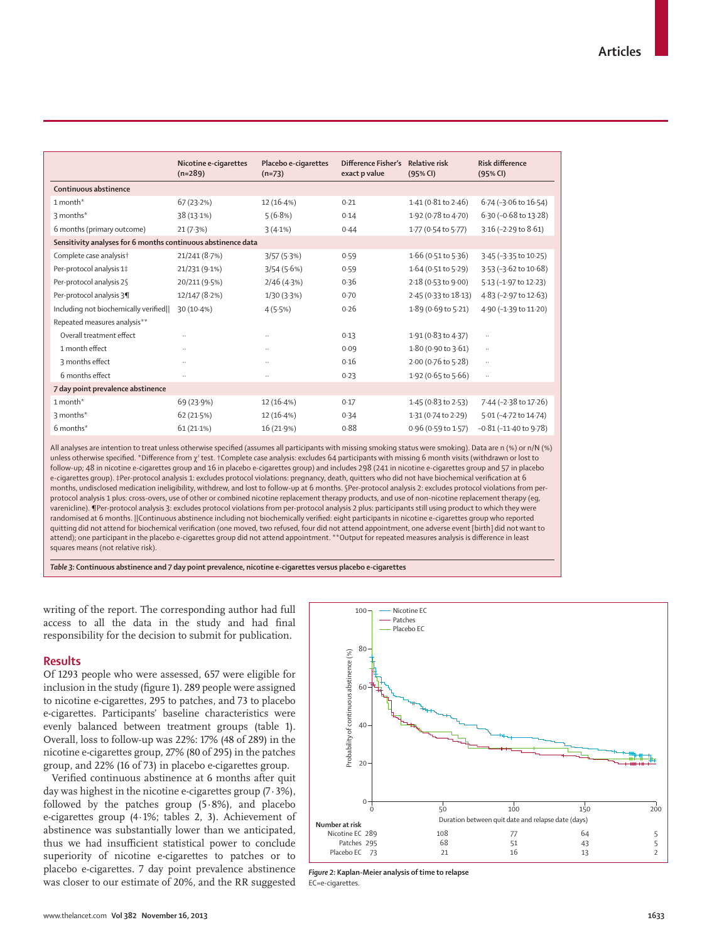|                                                              | Nicotine e-cigarettes<br>$(n=289)$ | Placebo e-cigarettes<br>$(n=73)$ | Difference Fisher's<br>exact p value | <b>Relative risk</b><br>(95% CI) | <b>Risk difference</b><br>(95% CI) |
|--------------------------------------------------------------|------------------------------------|----------------------------------|--------------------------------------|----------------------------------|------------------------------------|
| Continuous abstinence                                        |                                    |                                  |                                      |                                  |                                    |
| $1$ month <sup>*</sup>                                       | 67(23.2%)                          | 12(16.4%)                        | 0.21                                 | $1.41(0.81$ to $2.46)$           | $6-74$ ( $-3-06$ to $16-54$ )      |
| 3 months*                                                    | $38(13.1\%)$                       | 5(6.8%)                          | 0.14                                 | 1.92 (0.78 to 4.70)              | 6.30 (-0.68 to 13.28)              |
| 6 months (primary outcome)                                   | 21(7.3%)                           | 3(4.1%)                          | 0.44                                 | 1.77 (0.54 to 5.77)              | $3.16$ (-2.29 to $8.61$ )          |
| Sensitivity analyses for 6 months continuous abstinence data |                                    |                                  |                                      |                                  |                                    |
| Complete case analysist                                      | 21/241 (8.7%)                      | 3/57(5.3%)                       | 0.59                                 | 1.66 (0.51 to 5.36)              | 3.45 (-3.35 to 10.25)              |
| Per-protocol analysis 1‡                                     | 21/231 (9.1%)                      | 3/54(5.6%)                       | 0.59                                 | 1.64 (0.51 to 5.29)              | $3.53$ (-3.62 to 10.68)            |
| Per-protocol analysis 2§                                     | 20/211 (9.5%)                      | 2/46(4.3%)                       | 0.36                                 | 2.18 (0.53 to 9.00)              | 5.13 (-1.97 to 12.23)              |
| Per-protocol analysis 3¶                                     | 12/147 (8.2%)                      | 1/30(3.3%)                       | 0.70                                 | 2.45 (0.33 to 18.13)             | 4.83 (-2.97 to 12.63)              |
| Including not biochemically verified                         | 30 (10.4%)                         | 4(5.5%)                          | 0.26                                 | 1.89 (0.69 to 5.21)              | 4.90 (-1.39 to 11.20)              |
| Repeated measures analysis**                                 |                                    |                                  |                                      |                                  |                                    |
| Overall treatment effect                                     |                                    | $\ddotsc$                        | 0.13                                 | 1.91 (0.83 to 4.37)              | $\ddotsc$                          |
| 1 month effect                                               | $\ddotsc$                          | $\ldots$                         | 0.09                                 | 1.80 (0.90 to 3.61)              | $\ldots$                           |
| 3 months effect                                              |                                    | $\ddotsc$                        | 0.16                                 | 2.00 (0.76 to 5.28)              | $\ddotsc$                          |
| 6 months effect                                              | $\ddotsc$                          |                                  | 0.23                                 | $1.92(0.65 \text{ to } 5.66)$    | $\ldots$                           |
| 7 day point prevalence abstinence                            |                                    |                                  |                                      |                                  |                                    |
| $1$ month <sup>*</sup>                                       | 69 (23.9%)                         | 12(16.4%)                        | 0.17                                 | 1.45 (0.83 to 2.53)              | 7.44 (-2.38 to 17.26)              |
| 3 months*                                                    | 62(21.5%)                          | 12(16.4%)                        | 0.34                                 | 1.31 (0.74 to 2.29)              | 5.01 (-4.72 to 14.74)              |
| 6 months*                                                    | $61(21.1\%)$                       | 16(21.9%)                        | 0.88                                 | 0.96 (0.59 to 1.57)              | $-0.81(-11.40$ to $9.78$ )         |
|                                                              |                                    |                                  |                                      |                                  |                                    |

All analyses are intention to treat unless otherwise specified (assumes all participants with missing smoking status were smoking). Data are n (%) or n/N (%) unless otherwise specified. \*Difference from χ² test. †Complete case analysis: excludes 64 participants with missing 6 month visits (withdrawn or lost to follow-up; 48 in nicotine e-cigarettes group and 16 in placebo e-cigarettes group) and includes 298 (241 in nicotine e-cigarettes group and 57 in placebo e-cigarettes group). ‡Per-protocol analysis 1: excludes protocol violations: pregnancy, death, quitters who did not have biochemical verification at 6 months, undisclosed medication ineligibility, withdrew, and lost to follow-up at 6 months. §Per-protocol analysis 2: excludes protocol violations from perprotocol analysis 1 plus: cross-overs, use of other or combined nicotine replacement therapy products, and use of non-nicotine replacement therapy (eg, varenicline). ¶Per-protocol analysis 3: excludes protocol violations from per-protocol analysis 2 plus: participants still using product to which they were randomised at 6 months. ||Continuous abstinence including not biochemically verified: eight participants in nicotine e-cigarettes group who reported quitting did not attend for biochemical verification (one moved, two refused, four did not attend appointment, one adverse event [birth] did not want to attend); one participant in the placebo e-cigarettes group did not attend appointment. \*\*Output for repeated measures analysis is difference in least squares means (not relative risk).

*Table 3:* **Continuous abstinence and 7 day point prevalence, nicotine e-cigarettes versus placebo e-cigarettes**

writing of the report. The corresponding author had full access to all the data in the study and had final responsibility for the decision to submit for publication.

#### **Results**

Of 1293 people who were assessed, 657 were eligible for inclusion in the study (figure 1). 289 people were assigned to nicotine e-cigarettes, 295 to patches, and 73 to placebo e-cigarettes. Participants' baseline characteristics were evenly balanced between treatment groups (table 1). Overall, loss to follow-up was 22%: 17% (48 of 289) in the nicotine e-cigarettes group, 27% (80 of 295) in the patches group, and 22% (16 of 73) in placebo e-cigarettes group.

Verified continuous abstinence at 6 months after quit day was highest in the nicotine e-cigarettes group  $(7.3\%)$ , followed by the patches group  $(5.8\%)$ , and placebo e-cigarettes group (4·1%; tables 2, 3). Achievement of abstinence was substantially lower than we anticipated, thus we had insufficient statistical power to conclude superiority of nicotine e-cigarettes to patches or to placebo e-cigarettes. 7 day point prevalence abstinence was closer to our estimate of 20%, and the RR suggested



*Figure 2:* **Kaplan-Meier analysis of time to relapse** EC=e-cigarettes.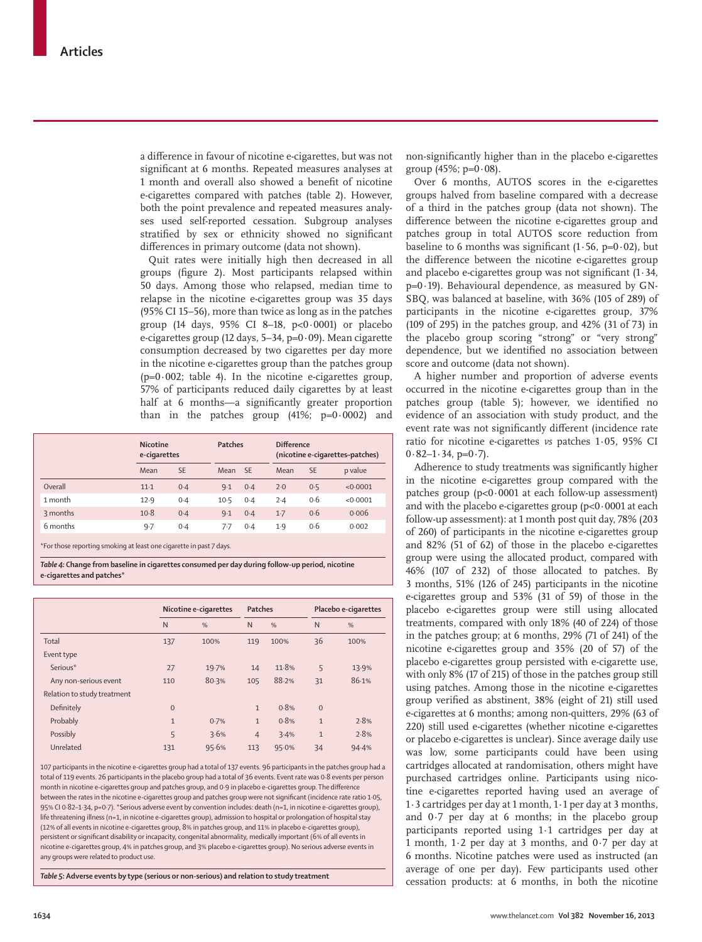a difference in favour of nicotine e-cigarettes, but was not significant at 6 months. Repeated measures analyses at 1 month and overall also showed a benefit of nicotine e-cigarettes compared with patches (table 2). However, both the point prevalence and repeated measures analyses used self-reported cessation. Subgroup analyses stratified by sex or ethnicity showed no significant differences in primary outcome (data not shown).

Quit rates were initially high then decreased in all groups (figure 2). Most participants relapsed within 50 days. Among those who relapsed, median time to relapse in the nicotine e-cigarettes group was 35 days (95% CI 15–56), more than twice as long as in the patches group (14 days, 95% CI 8–18, p<0·0001) or placebo e-cigarettes group (12 days, 5–34, p=0·09). Mean cigarette consumption decreased by two cigarettes per day more in the nicotine e-cigarettes group than the patches group  $(p=0.002;$  table 4). In the nicotine e-cigarettes group, 57% of participants reduced daily cigarettes by at least half at 6 months-a significantly greater proportion than in the patches group  $(41\%; p=0.0002)$  and

|          | <b>Nicotine</b><br>e-cigarettes |           | Patches |       | <b>Difference</b><br>(nicotine e-cigarettes-patches) |           |          |
|----------|---------------------------------|-----------|---------|-------|------------------------------------------------------|-----------|----------|
|          | Mean                            | <b>SE</b> | Mean    | - SE  | Mean                                                 | <b>SE</b> | p value  |
| Overall  | $11-1$                          | 0.4       | 9.1     | 0.4   | 2.0                                                  | 0.5       | < 0.0001 |
| 1 month  | 12.9                            | 0.4       | $10-5$  | $0-4$ | 2.4                                                  | 0.6       | < 0.0001 |
| 3 months | $10-8$                          | 0.4       | 9.1     | 0.4   | $1 - 7$                                              | 0.6       | 0.006    |
| 6 months | 9.7                             | 0.4       | $7 - 7$ | $0-4$ | 1.9                                                  | 0.6       | 0.002    |

\*For those reporting smoking at least one cigarette in past 7 days.

*Table 4:* **Change from baseline in cigarettes consumed per day during follow-up period, nicotine e-cigarettes and patches\***

|                             | Nicotine e-cigarettes |               | <b>Patches</b> |               |                | Placebo e-cigarettes |  |
|-----------------------------|-----------------------|---------------|----------------|---------------|----------------|----------------------|--|
|                             | N                     | $\frac{0}{0}$ | N              | $\frac{9}{6}$ | N              | %                    |  |
| Total                       | 137                   | 100%          | 119            | 100%          | 36             | 100%                 |  |
| Event type                  |                       |               |                |               |                |                      |  |
| Serious*                    | 27                    | 19.7%         | 14             | 11.8%         | 5              | 13.9%                |  |
| Any non-serious event       | 110                   | 80.3%         | 105            | 88.2%         | 31             | 86.1%                |  |
| Relation to study treatment |                       |               |                |               |                |                      |  |
| Definitely                  | $\mathbf{0}$          |               | $\mathbf{1}$   | 0.8%          | $\overline{0}$ |                      |  |
| Probably                    | $\mathbf{1}$          | 0.7%          | $\mathbf{1}$   | 0.8%          | $\mathbf{1}$   | 2.8%                 |  |
| Possibly                    | 5                     | 3.6%          | $\overline{4}$ | 3.4%          | $\mathbf{1}$   | 2.8%                 |  |
| Unrelated                   | 131                   | 95.6%         | 113            | 95.0%         | 34             | 94.4%                |  |

107 participants in the nicotine e-cigarettes group had a total of 137 events. 96 participants in the patches group had a total of 119 events. 26 participants in the placebo group had a total of 36 events. Event rate was 0·8 events per person month in nicotine e-cigarettes group and patches group, and 0.9 in placebo e-cigarettes group. The difference between the rates in the nicotine e-cigarettes group and patches group were not significant (incidence rate ratio 1·05, 95% CI 0·82–1·34, p=0·7). \*Serious adverse event by convention includes: death (n=1, in nicotine e-cigarettes group), life threatening illness (n=1, in nicotine e-cigarettes group), admission to hospital or prolongation of hospital stay (12% of all events in nicotine e-cigarettes group, 8% in patches group, and 11% in placebo e-cigarettes group), persistent or significant disability or incapacity, congenital abnormality, medically important (6% of all events in nicotine e-cigarettes group, 4% in patches group, and 3% placebo e-cigarettes group). No serious adverse events in any groups were related to product use.

*Table 5:* **Adverse events by type (serious or non-serious) and relation to study treatment**

non-significantly higher than in the placebo e-cigarettes group (45%;  $p=0.08$ ).

Over 6 months, AUTOS scores in the e-cigarettes groups halved from baseline compared with a decrease of a third in the patches group (data not shown). The difference between the nicotine e-cigarettes group and patches group in total AUTOS score reduction from baseline to 6 months was significant  $(1.56, p=0.02)$ , but the difference between the nicotine e-cigarettes group and placebo e-cigarettes group was not significant  $(1.34, 1.1)$  $p=0.19$ ). Behavioural dependence, as measured by GN-SBQ, was balanced at baseline, with 36% (105 of 289) of participants in the nicotine e-cigarettes group, 37% (109 of 295) in the patches group, and 42% (31 of 73) in the placebo group scoring "strong" or "very strong" dependence, but we identified no association between score and outcome (data not shown).

A higher number and proportion of adverse events occurred in the nicotine e-cigarettes group than in the patches group (table 5); however, we identified no evidence of an association with study product, and the event rate was not significantly different (incidence rate ratio for nicotine e-cigarettes *vs* patches 1·05, 95% CI  $0.82-1.34$ , p= $0.7$ ).

Adherence to study treatments was significantly higher in the nicotine e-cigarettes group compared with the patches group (p<0·0001 at each follow-up assessment) and with the placebo e-cigarettes group ( $p$ <0 $\cdot$ 0001 at each follow-up assessment): at 1 month post quit day, 78% (203 of 260) of participants in the nicotine e-cigarettes group and 82% (51 of 62) of those in the placebo e-cigarettes group were using the allocated product, compared with 46% (107 of 232) of those allocated to patches. By 3 months, 51% (126 of 245) participants in the nicotine e-cigarettes group and 53% (31 of 59) of those in the placebo e-cigarettes group were still using allocated treatments, compared with only 18% (40 of 224) of those in the patches group; at 6 months, 29% (71 of 241) of the nicotine e-cigarettes group and 35% (20 of 57) of the placebo e-cigarettes group persisted with e-cigarette use, with only 8% (17 of 215) of those in the patches group still using patches. Among those in the nicotine e-cigarettes group verified as abstinent, 38% (eight of 21) still used e-cigarettes at 6 months; among non-quitters, 29% (63 of 220) still used e-cigarettes (whether nicotine e-cigarettes or placebo e-cigarettes is unclear). Since average daily use was low, some participants could have been using cartridges allocated at randomisation, others might have purchased cartridges online. Participants using nicotine e-cigarettes reported having used an average of 1·3 cartridges per day at 1 month, 1·1 per day at 3 months, and 0·7 per day at 6 months; in the placebo group participants reported using 1·1 cartridges per day at 1 month, 1·2 per day at 3 months, and 0·7 per day at 6 months. Nicotine patches were used as instructed (an average of one per day). Few participants used other cessation products: at 6 months, in both the nicotine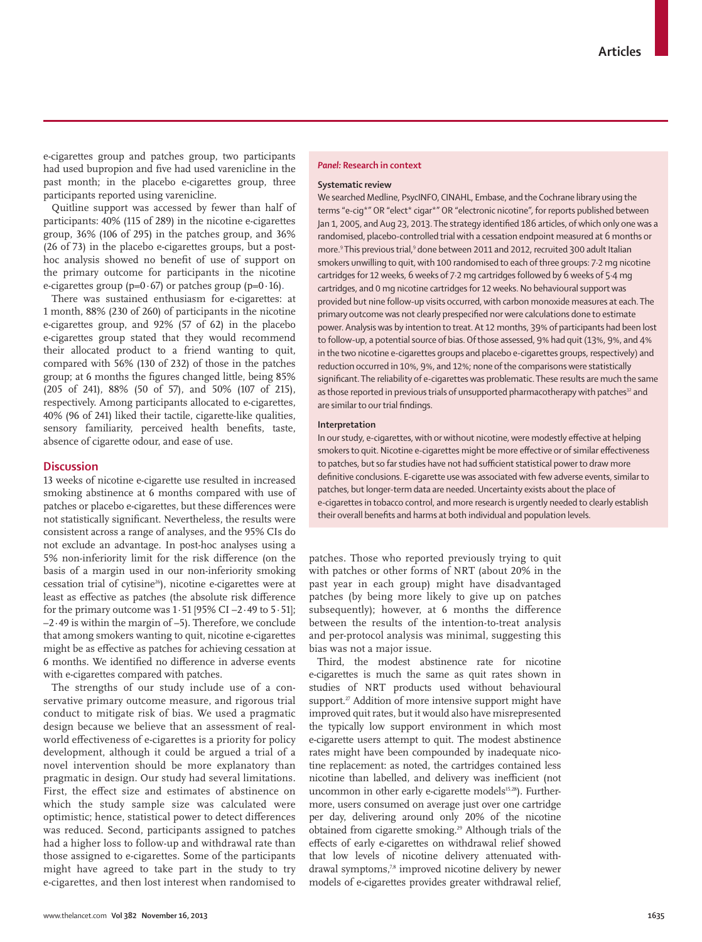e-cigarettes group and patches group, two participants had used bupropion and five had used varenicline in the past month; in the placebo e-cigarettes group, three participants reported using varenicline.

Quitline support was accessed by fewer than half of participants: 40% (115 of 289) in the nicotine e-cigarettes group, 36% (106 of 295) in the patches group, and 36% (26 of 73) in the placebo e-cigarettes groups, but a posthoc analysis showed no benefit of use of support on the primary outcome for participants in the nicotine e-cigarettes group ( $p=0.67$ ) or patches group ( $p=0.16$ ).

There was sustained enthusiasm for e-cigarettes: at 1 month, 88% (230 of 260) of participants in the nicotine e-cigarettes group, and 92% (57 of 62) in the placebo e-cigarettes group stated that they would recommend their allocated product to a friend wanting to quit, compared with 56% (130 of 232) of those in the patches group; at 6 months the figures changed little, being 85% (205 of 241), 88% (50 of 57), and 50% (107 of 215), respectively. Among participants allocated to e-cigarettes, 40% (96 of 241) liked their tactile, cigarette-like qualities, sensory familiarity, perceived health benefits, taste, absence of cigarette odour, and ease of use.

## **Discussion**

13 weeks of nicotine e-cigarette use resulted in increased smoking abstinence at 6 months compared with use of patches or placebo e-cigarettes, but these differences were not statistically significant. Nevertheless, the results were consistent across a range of analyses, and the 95% CIs do not exclude an advantage. In post-hoc analyses using a 5% non-inferiority limit for the risk difference (on the basis of a margin used in our non-inferiority smoking cessation trial of cytisine26), nicotine e-cigarettes were at least as effective as patches (the absolute risk difference for the primary outcome was  $1.51$  [95% CI –2.49 to  $5.51$ ]; –2·49 is within the margin of –5). Therefore, we conclude that among smokers wanting to quit, nicotine e-cigarettes might be as effective as patches for achieving cessation at 6 months. We identified no difference in adverse events with e-cigarettes compared with patches.

The strengths of our study include use of a conservative primary outcome measure, and rigorous trial conduct to mitigate risk of bias. We used a pragmatic design because we believe that an assessment of realworld effectiveness of e-cigarettes is a priority for policy development, although it could be argued a trial of a novel intervention should be more explanatory than pragmatic in design. Our study had several limitations. First, the effect size and estimates of abstinence on which the study sample size was calculated were optimistic; hence, statistical power to detect differences was reduced. Second, participants assigned to patches had a higher loss to follow-up and withdrawal rate than those assigned to e-cigarettes. Some of the participants might have agreed to take part in the study to try e-cigarettes, and then lost interest when randomised to

#### *Panel:* **Research in context**

### **Systematic review**

We searched Medline, PsycINFO, CINAHL, Embase, and the Cochrane library using the terms "e-cig\*" OR "elect\* cigar\*" OR "electronic nicotine", for reports published between Jan 1, 2005, and Aug 23, 2013. The strategy identified 186 articles, of which only one was a randomised, placebo-controlled trial with a cessation endpoint measured at 6 months or more.<sup>9</sup> This previous trial,<sup>9</sup> done between 2011 and 2012, recruited 300 adult Italian smokers unwilling to quit, with 100 randomised to each of three groups: 7·2 mg nicotine cartridges for 12 weeks, 6 weeks of 7·2 mg cartridges followed by 6 weeks of 5·4 mg cartridges, and 0 mg nicotine cartridges for 12 weeks. No behavioural support was provided but nine follow-up visits occurred, with carbon monoxide measures at each. The primary outcome was not clearly prespecified nor were calculations done to estimate power. Analysis was by intention to treat. At 12 months, 39% of participants had been lost to follow-up, a potential source of bias. Of those assessed, 9% had quit (13%, 9%, and 4% in the two nicotine e-cigarettes groups and placebo e-cigarettes groups, respectively) and reduction occurred in 10%, 9%, and 12%; none of the comparisons were statistically significant. The reliability of e-cigarettes was problematic. These results are much the same as those reported in previous trials of unsupported pharmacotherapy with patches $32$  and are similar to our trial findings.

#### **Interpretation**

In our study, e-cigarettes, with or without nicotine, were modestly effective at helping smokers to quit. Nicotine e-cigarettes might be more effective or of similar effectiveness to patches, but so far studies have not had sufficient statistical power to draw more definitive conclusions. E-cigarette use was associated with few adverse events, similar to patches, but longer-term data are needed. Uncertainty exists about the place of e-cigarettes in tobacco control, and more research is urgently needed to clearly establish their overall benefits and harms at both individual and population levels.

patches. Those who reported previously trying to quit with patches or other forms of NRT (about 20% in the past year in each group) might have disadvantaged patches (by being more likely to give up on patches subsequently); however, at 6 months the difference between the results of the intention-to-treat analysis and per-protocol analysis was minimal, suggesting this bias was not a major issue.

Third, the modest abstinence rate for nicotine e-cigarettes is much the same as quit rates shown in studies of NRT products used without behavioural support.<sup>27</sup> Addition of more intensive support might have improved quit rates, but it would also have misrepresented the typically low support environment in which most e-cigarette users attempt to quit. The modest abstinence rates might have been compounded by inadequate nicotine replacement: as noted, the cartridges contained less nicotine than labelled, and delivery was inefficient (not uncommon in other early e-cigarette models<sup>15,28</sup>). Furthermore, users consumed on average just over one cartridge per day, delivering around only 20% of the nicotine obtained from cigarette smoking.<sup>29</sup> Although trials of the effects of early e-cigarettes on withdrawal relief showed that low levels of nicotine delivery attenuated withdrawal symptoms,<sup>7,8</sup> improved nicotine delivery by newer models of e-cigarettes provides greater withdrawal relief,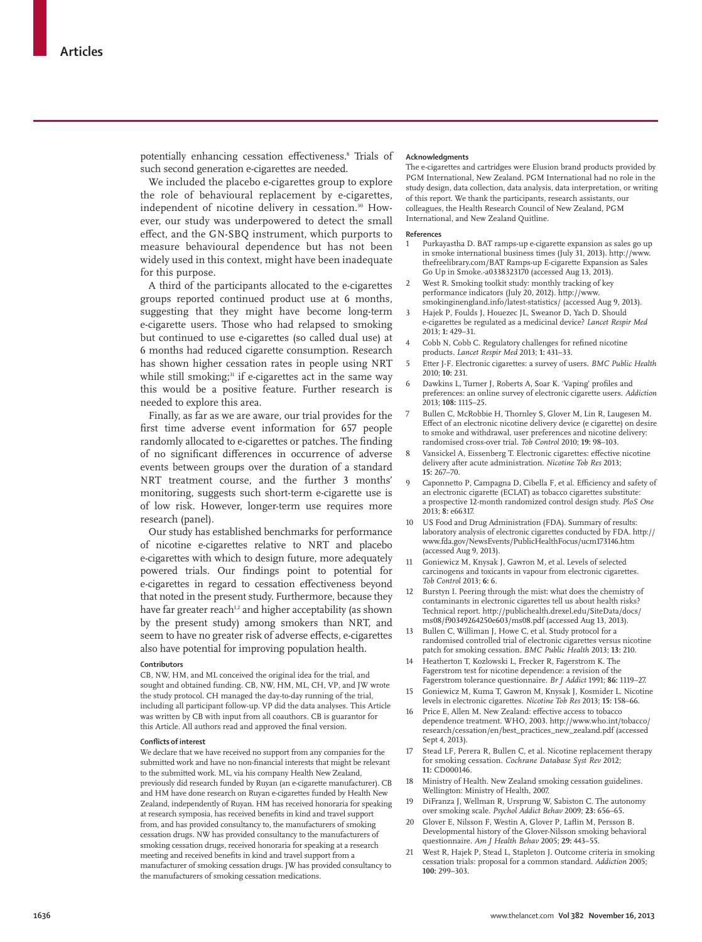potentially enhancing cessation effectiveness.<sup>8</sup> Trials of such second generation e-cigarettes are needed.

We included the placebo e-cigarettes group to explore the role of behavioural replacement by e-cigarettes, independent of nicotine delivery in cessation.<sup>30</sup> However, our study was underpowered to detect the small effect, and the GN-SBQ instrument, which purports to measure behavioural dependence but has not been widely used in this context, might have been inadequate for this purpose.

A third of the participants allocated to the e-cigarettes groups reported continued product use at 6 months, suggesting that they might have become long-term e-cigarette users. Those who had relapsed to smoking but continued to use e-cigarettes (so called dual use) at 6 months had reduced cigarette consumption. Research has shown higher cessation rates in people using NRT while still smoking; $31$  if e-cigarettes act in the same way this would be a positive feature. Further research is needed to explore this area.

Finally, as far as we are aware, our trial provides for the first time adverse event information for 657 people randomly allocated to e-cigarettes or patches. The finding of no significant differences in occurrence of adverse events between groups over the duration of a standard NRT treatment course, and the further 3 months' monitoring, suggests such short-term e-cigarette use is of low risk. However, longer-term use requires more research (panel).

Our study has established benchmarks for performance of nicotine e-cigarettes relative to NRT and placebo e-cigarettes with which to design future, more adequately powered trials. Our findings point to potential for e-cigarettes in regard to cessation effectiveness beyond that noted in the present study. Furthermore, because they have far greater reach<sup>1,2</sup> and higher acceptability (as shown by the present study) among smokers than NRT, and seem to have no greater risk of adverse effects, e-cigarettes also have potential for improving population health.

#### **Contributors**

CB, NW, HM, and ML conceived the original idea for the trial, and sought and obtained funding. CB, NW, HM, ML, CH, VP, and JW wrote the study protocol. CH managed the day-to-day running of the trial, including all participant follow-up. VP did the data analyses. This Article was written by CB with input from all coauthors. CB is guarantor for this Article. All authors read and approved the final version.

#### **Conflicts of interest**

We declare that we have received no support from any companies for the submitted work and have no non-financial interests that might be relevant to the submitted work. ML, via his company Health New Zealand, previously did research funded by Ruyan (an e-cigarette manufacturer). CB and HM have done research on Ruyan e-cigarettes funded by Health New Zealand, independently of Ruyan. HM has received honoraria for speaking at research symposia, has received benefits in kind and travel support from, and has provided consultancy to, the manufacturers of smoking cessation drugs. NW has provided consultancy to the manufacturers of smoking cessation drugs, received honoraria for speaking at a research meeting and received benefits in kind and travel support from a manufacturer of smoking cessation drugs. JW has provided consultancy to the manufacturers of smoking cessation medications.

#### **Acknowledgments**

The e-cigarettes and cartridges were Elusion brand products provided by PGM International, New Zealand. PGM International had no role in the study design, data collection, data analysis, data interpretation, or writing of this report. We thank the participants, research assistants, our colleagues, the Health Research Council of New Zealand, PGM International, and New Zealand Quitline.

#### **References**

- 1 Purkayastha D. BAT ramps-up e-cigarette expansion as sales go up in smoke international business times (July 31, 2013). http://www. thefreelibrary.com/BAT Ramps-up E-cigarette Expansion as Sales Go Up in Smoke.-a0338323170 (accessed Aug 13, 2013).
- 2 West R. Smoking toolkit study: monthly tracking of key performance indicators (July 20, 2012). http://www. smokinginengland.info/latest-statistics/ (accessed Aug 9, 2013).
- Hajek P, Foulds J, Houezec JL, Sweanor D, Yach D. Should e-cigarettes be regulated as a medicinal device? *Lancet Respir Med* 2013; **1:** 429–31.
- Cobb N, Cobb C. Regulatory challenges for refined nicotine products. *Lancet Respir Med* 2013; **1:** 431–33.
- 5 Etter J-F. Electronic cigarettes: a survey of users. *BMC Public Health* 2010; **10:** 231.
- 6 Dawkins L, Turner J, Roberts A, Soar K. 'Vaping' profiles and preferences: an online survey of electronic cigarette users. *Addiction* 2013; **108:** 1115–25.
- 7 Bullen C, McRobbie H, Thornley S, Glover M, Lin R, Laugesen M. Effect of an electronic nicotine delivery device (e cigarette) on desire to smoke and withdrawal, user preferences and nicotine delivery: randomised cross-over trial. *Tob Control* 2010; **19:** 98–103.
- 8 Vansickel A, Eissenberg T. Electronic cigarettes: effective nicotine delivery after acute administration. *Nicotine Tob Res* 2013; **15:** 267–70.
- Caponnetto P, Campagna D, Cibella F, et al. Efficiency and safety of an electronic cigarette (ECLAT) as tobacco cigarettes substitute: a prospective 12-month randomized control design study. *PloS One* 2013; **8:** e66317.
- 10 US Food and Drug Administration (FDA). Summary of results: laboratory analysis of electronic cigarettes conducted by FDA. http:// www.fda.gov/NewsEvents/PublicHealthFocus/ucm173146.htm (accessed Aug 9, 2013).
- Goniewicz M, Knysak J, Gawron M, et al. Levels of selected carcinogens and toxicants in vapour from electronic cigarettes. *Tob Control* 2013; **6:** 6.
- 12 Burstyn I. Peering through the mist: what does the chemistry of contaminants in electronic cigarettes tell us about health risks? Technical report. http://publichealth.drexel.edu/SiteData/docs/ ms08/f90349264250e603/ms08.pdf (accessed Aug 13, 2013).
- 13 Bullen C, Williman J, Howe C, et al. Study protocol for a randomised controlled trial of electronic cigarettes versus nicotine patch for smoking cessation. *BMC Public Health* 2013; **13:** 210.
- 14 Heatherton T, Kozlowski L, Frecker R, Fagerstrom K. The Fagerstrom test for nicotine dependence: a revision of the Fagerstrom tolerance questionnaire. *Br J Addict* 1991; **86:** 1119–27.
- 15 Goniewicz M, Kuma T, Gawron M, Knysak J, Kosmider L. Nicotine levels in electronic cigarettes. *Nicotine Tob Res* 2013; **15:** 158–66.
- 16 Price E, Allen M. New Zealand: effective access to tobacco dependence treatment. WHO, 2003. http://www.who.int/tobacco/ research/cessation/en/best\_practices\_new\_zealand.pdf (accessed Sept 4, 2013).
- 17 Stead LF, Perera R, Bullen C, et al. Nicotine replacement therapy for smoking cessation. *Cochrane Database Syst Rev* 2012; **11:** CD000146.
- 18 Ministry of Health. New Zealand smoking cessation guidelines. Wellington: Ministry of Health, 2007.
- 19 DiFranza J, Wellman R, Ursprung W, Sabiston C. The autonomy over smoking scale. *Psychol Addict Behav* 2009; **23:** 656–65.
- 20 Glover E, Nilsson F, Westin A, Glover P, Laflin M, Persson B. Developmental history of the Glover-Nilsson smoking behavioral questionnaire. *Am J Health Behav* 2005; **29:** 443–55.
- 21 West R, Hajek P, Stead L, Stapleton J. Outcome criteria in smoking cessation trials: proposal for a common standard. *Addiction* 2005; **100:** 299–303.